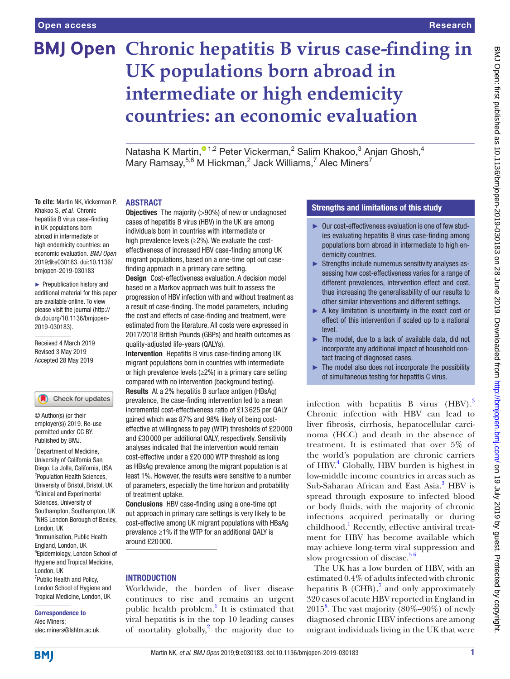# **BMJ Open Chronic hepatitis B virus case-finding in UK populations born abroad in intermediate or high endemicity countries: an economic evaluation**

Natasha K Martin[,](http://orcid.org/0000-0001-8344-1810) <sup>01,2</sup> Peter Vickerman, <sup>2</sup> Salim Khakoo, <sup>3</sup> Anjan Ghosh, <sup>4</sup> Mary Ramsay,  $5.6$  M Hickman,  $2$  Jack Williams,  $7$  Alec Miners $7$ 

#### **ABSTRACT**

**To cite:** Martin NK, Vickerman P, Khakoo S, *et al*. Chronic hepatitis B virus case-finding in UK populations born abroad in intermediate or high endemicity countries: an economic evaluation. *BMJ Open* 2019;9:e030183. doi:10.1136/ bmjopen-2019-030183

► Prepublication history and additional material for this paper are available online. To view please visit the journal ([http://](http://dx.doi.org/10.1136/bmjopen-2019-030183) [dx.doi.org/10.1136/bmjopen-](http://dx.doi.org/10.1136/bmjopen-2019-030183)[2019-030183\)](http://dx.doi.org/10.1136/bmjopen-2019-030183).

Received 4 March 2019 Revised 3 May 2019 Accepted 28 May 2019

#### Check for updates

© Author(s) (or their employer(s)) 2019. Re-use permitted under CC BY. Published by BMJ.

<sup>1</sup>Department of Medicine, University of California San Diego, La Jolla, California, USA 2 Population Health Sciences, University of Bristol, Bristol, UK <sup>3</sup>Clinical and Experimental Sciences, University of Southampton, Southampton, UK 4 NHS London Borough of Bexley, London, UK 5 Immunisation, Public Health England, London, UK 6 Epidemiology, London School of Hygiene and Tropical Medicine, London, UK <sup>7</sup> Public Health and Policy, London School of Hygiene and Tropical Medicine, London, UK

#### Correspondence to Alec Miners;

alec.miners@lshtm.ac.uk

**Objectives** The majority (>90%) of new or undiagnosed cases of hepatitis B virus (HBV) in the UK are among individuals born in countries with intermediate or high prevalence levels (≥2%). We evaluate the costeffectiveness of increased HBV case-finding among UK migrant populations, based on a one-time opt out casefinding approach in a primary care setting.

Design Cost-effectiveness evaluation. A decision model based on a Markov approach was built to assess the progression of HBV infection with and without treatment as a result of case-finding. The model parameters, including the cost and effects of case-finding and treatment, were estimated from the literature. All costs were expressed in 2017/2018 British Pounds (GBPs) and health outcomes as quality-adjusted life-years (QALYs).

Intervention Hepatitis B virus case-finding among UK migrant populations born in countries with intermediate or high prevalence levels ( $\geq$ 2%) in a primary care setting compared with no intervention (background testing). Results At a 2% hepatitis B surface antigen (HBsAg) prevalence, the case-finding intervention led to a mean incremental cost-effectiveness ratio of £13 625 per QALY gained which was 87% and 98% likely of being costeffective at willingness to pay (WTP) thresholds of £20 000 and £30 000 per additional QALY, respectively. Sensitivity analyses indicated that the intervention would remain cost-effective under a £20 000 WTP threshold as long as HBsAg prevalence among the migrant population is at least 1%. However, the results were sensitive to a number of parameters, especially the time horizon and probability of treatment uptake.

Conclusions HBV case-finding using a one-time opt out approach in primary care settings is very likely to be cost-effective among UK migrant populations with HBsAg prevalence ≥1% if the WTP for an additional QALY is around £20 000.

## **INTRODUCTION**

Worldwide, the burden of liver disease continues to rise and remains an urgent public health problem.<sup>[1](#page-6-0)</sup> It is estimated that viral hepatitis is in the top 10 leading causes of mortality globally,<sup>[2](#page-6-1)</sup> the majority due to

## Strengths and limitations of this study

- ► Our cost-effectiveness evaluation is one of few studies evaluating hepatitis B virus case-finding among populations born abroad in intermediate to high endemicity countries.
- ► Strengths include numerous sensitivity analyses assessing how cost-effectiveness varies for a range of different prevalences, intervention effect and cost, thus increasing the generalisability of our results to other similar interventions and different settings.
- ► A key limitation is uncertainty in the exact cost or effect of this intervention if scaled up to a national level.
- ► The model, due to a lack of available data, did not incorporate any additional impact of household contact tracing of diagnosed cases.
- $\blacktriangleright$  The model also does not incorporate the possibility of simultaneous testing for hepatitis C virus.

infection with hepatitis B virus  $(HBV).$ <sup>3</sup> Chronic infection with HBV can lead to liver fibrosis, cirrhosis, hepatocellular carcinoma (HCC) and death in the absence of treatment. It is estimated that over 5% of the world's population are chronic carriers of HBV.<sup>4</sup> Globally, HBV burden is highest in low-middle income countries in areas such as Sub-Saharan African and East Asia.<sup>[3](#page-6-2)</sup> HBV is spread through exposure to infected blood or body fluids, with the majority of chronic infections acquired perinatally or during childhood.<sup>[1](#page-6-0)</sup> Recently, effective antiviral treatment for HBV has become available which may achieve long-term viral suppression and slow progression of disease.<sup>56</sup>

The UK has a low burden of HBV, with an estimated 0.4% of adults infected with chronic hepatitis B  $(CHB)$ ,<sup>7</sup> and only approximately 320 cases of acute HBV reported in England in 2015[8](#page-6-6) . The vast majority (80%–90%) of newly diagnosed chronic HBV infections are among migrant individuals living in the UK that were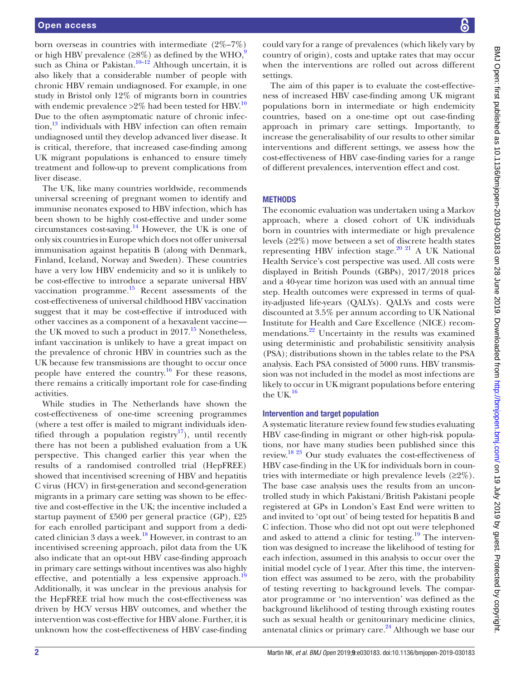born overseas in countries with intermediate (2%–7%) or high HBV prevalence ( $\geq 8\%$ ) as defined by the WHO,<sup>[9](#page-7-0)</sup> such as China or Pakistan.<sup>10–12</sup> Although uncertain, it is also likely that a considerable number of people with chronic HBV remain undiagnosed. For example, in one study in Bristol only 12% of migrants born in countries with endemic prevalence  $>2\%$  had been tested for HBV.<sup>10</sup> Due to the often asymptomatic nature of chronic infec- $\mu$ <sub>13</sub> individuals with HBV infection can often remain undiagnosed until they develop advanced liver disease. It is critical, therefore, that increased case-finding among UK migrant populations is enhanced to ensure timely treatment and follow-up to prevent complications from liver disease.

The UK, like many countries worldwide, recommends universal screening of pregnant women to identify and immunise neonates exposed to HBV infection, which has been shown to be highly cost-effective and under some circumstances cost-saving.<sup>14</sup> However, the UK is one of only six countries in Europe which does not offer universal immunisation against hepatitis B (along with Denmark, Finland, Iceland, Norway and Sweden). These countries have a very low HBV endemicity and so it is unlikely to be cost-effective to introduce a separate universal HBV vaccination programme. $^{15}$  Recent assessments of the cost-effectiveness of universal childhood HBV vaccination suggest that it may be cost-effective if introduced with other vaccines as a component of a hexavalent vaccine the UK moved to such a product in  $2017<sup>15</sup>$  $2017<sup>15</sup>$  $2017<sup>15</sup>$  Nonetheless, infant vaccination is unlikely to have a great impact on the prevalence of chronic HBV in countries such as the UK because few transmissions are thought to occur once people have entered the country.<sup>16</sup> For these reasons, there remains a critically important role for case-finding activities.

While studies in The Netherlands have shown the cost-effectiveness of one-time screening programmes (where a test offer is mailed to migrant individuals iden-tified through a population registry<sup>[17](#page-7-6)</sup>), until recently there has not been a published evaluation from a UK perspective. This changed earlier this year when the results of a randomised controlled trial (HepFREE) showed that incentivised screening of HBV and hepatitis C virus (HCV) in first-generation and second-generation migrants in a primary care setting was shown to be effective and cost-effective in the UK; the incentive included a startup payment of £500 per general practice (GP), £25 for each enrolled participant and support from a dedicated clinician 3 days a week.<sup>18</sup> However, in contrast to an incentivised screening approach, pilot data from the UK also indicate that an opt-out HBV case-finding approach in primary care settings without incentives was also highly effective, and potentially a less expensive approach.<sup>19</sup> Additionally, it was unclear in the previous analysis for the HepFREE trial how much the cost-effectiveness was driven by HCV versus HBV outcomes, and whether the intervention was cost-effective for HBV alone. Further, it is unknown how the cost-effectiveness of HBV case-finding

could vary for a range of prevalences (which likely vary by country of origin), costs and uptake rates that may occur when the interventions are rolled out across different settings.

The aim of this paper is to evaluate the cost-effectiveness of increased HBV case-finding among UK migrant populations born in intermediate or high endemicity countries, based on a one-time opt out case-finding approach in primary care settings. Importantly, to increase the generalisability of our results to other similar interventions and different settings, we assess how the cost-effectiveness of HBV case-finding varies for a range of different prevalences, intervention effect and cost.

## **METHODS**

The economic evaluation was undertaken using a Markov approach, where a closed cohort of UK individuals born in countries with intermediate or high prevalence levels (≥2%) move between a set of discrete health states representing HBV infection stage.<sup>[20 21](#page-7-9)</sup> A UK National Health Service's cost perspective was used. All costs were displayed in British Pounds (GBPs), 2017/2018 prices and a 40-year time horizon was used with an annual time step. Health outcomes were expressed in terms of quality-adjusted life-years (QALYs). QALYs and costs were discounted at 3.5% per annum according to UK National Institute for Health and Care Excellence (NICE) recommendations.<sup>22</sup> Uncertainty in the results was examined using deterministic and probabilistic sensitivity analysis (PSA); distributions shown in the tables relate to the PSA analysis. Each PSA consisted of 5000 runs. HBV transmission was not included in the model as most infections are likely to occur in UK migrant populations before entering the UK. $16$ 

## Intervention and target population

A systematic literature review found few studies evaluating HBV case-finding in migrant or other high-risk populations, nor have many studies been published since this review[.18 23](#page-7-7) Our study evaluates the cost-effectiveness of HBV case-finding in the UK for individuals born in countries with intermediate or high prevalence levels (≥2%). The base case analysis uses the results from an uncontrolled study in which Pakistani/British Pakistani people registered at GPs in London's East End were written to and invited to 'opt out' of being tested for hepatitis B and C infection. Those who did not opt out were telephoned and asked to attend a clinic for testing.<sup>19</sup> The intervention was designed to increase the likelihood of testing for each infection, assumed in this analysis to occur over the initial model cycle of 1year. After this time, the intervention effect was assumed to be zero, with the probability of testing reverting to background levels. The comparator programme or 'no intervention' was defined as the background likelihood of testing through existing routes such as sexual health or genitourinary medicine clinics, antenatal clinics or primary care.<sup>[24](#page-7-11)</sup> Although we base our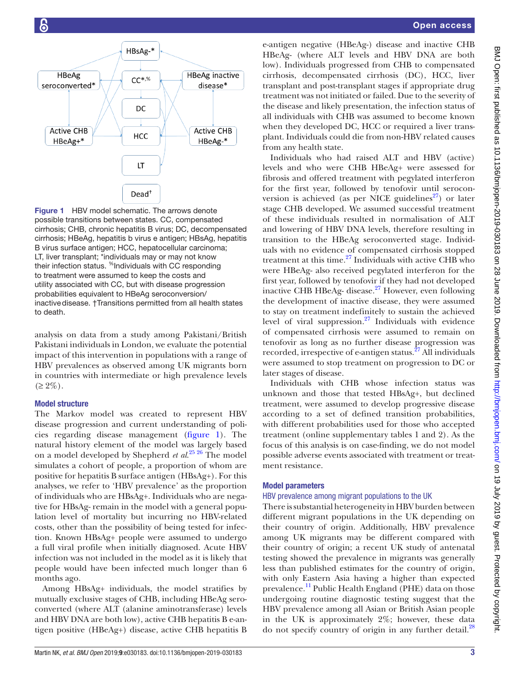

<span id="page-2-0"></span>Figure 1 HBV model schematic. The arrows denote possible transitions between states. CC, compensated cirrhosis; CHB, chronic hepatitis B virus; DC, decompensated cirrhosis; HBeAg, hepatitis b virus e antigen; HBsAg, hepatitis B virus surface antigen; HCC, hepatocellular carcinoma; LT, liver transplant; \*individuals may or may not know their infection status. <sup>%</sup>Individuals with CC responding to treatment were assumed to keep the costs and utility associated with CC, but with disease progression probabilities equivalent to HBeAg seroconversion/ inactivedisease. †Transitions permitted from all health states to death.

analysis on data from a study among Pakistani/British Pakistani individuals in London, we evaluate the potential impact of this intervention in populations with a range of HBV prevalences as observed among UK migrants born in countries with intermediate or high prevalence levels  $(\geq 2\%)$ .

## Model structure

The Markov model was created to represent HBV disease progression and current understanding of policies regarding disease management ([figure](#page-2-0) 1). The natural history element of the model was largely based on a model developed by Shepherd *et al*. [25 26](#page-7-12) The model simulates a cohort of people, a proportion of whom are positive for hepatitis B surface antigen (HBsAg+). For this analyses, we refer to 'HBV prevalence' as the proportion of individuals who are HBsAg+. Individuals who are negative for HBsAg- remain in the model with a general population level of mortality but incurring no HBV-related costs, other than the possibility of being tested for infection. Known HBsAg+ people were assumed to undergo a full viral profile when initially diagnosed. Acute HBV infection was not included in the model as it is likely that people would have been infected much longer than 6 months ago.

Among HBsAg+ individuals, the model stratifies by mutually exclusive stages of CHB, including HBeAg seroconverted (where ALT (alanine aminotransferase) levels and HBV DNA are both low), active CHB hepatitis B e-antigen positive (HBeAg+) disease, active CHB hepatitis B

e-antigen negative (HBeAg-) disease and inactive CHB HBeAg- (where ALT levels and HBV DNA are both low). Individuals progressed from CHB to compensated cirrhosis, decompensated cirrhosis (DC), HCC, liver transplant and post-transplant stages if appropriate drug treatment was not initiated or failed. Due to the severity of the disease and likely presentation, the infection status of all individuals with CHB was assumed to become known when they developed DC, HCC or required a liver transplant. Individuals could die from non-HBV related causes from any health state.

Individuals who had raised ALT and HBV (active) levels and who were CHB HBeAg+ were assessed for fibrosis and offered treatment with pegylated interferon for the first year, followed by tenofovir until seroconversion is achieved (as per NICE guidelines<sup>27</sup>) or later stage CHB developed. We assumed successful treatment of these individuals resulted in normalisation of ALT and lowering of HBV DNA levels, therefore resulting in transition to the HBeAg seroconverted stage. Individuals with no evidence of compensated cirrhosis stopped treatment at this time. $27$  Individuals with active CHB who were HBeAg- also received pegylated interferon for the first year, followed by tenofovir if they had not developed inactive CHB HBeAg- disease.[27](#page-7-13) However, even following the development of inactive disease, they were assumed to stay on treatment indefinitely to sustain the achieved level of viral suppression.[27](#page-7-13) Individuals with evidence of compensated cirrhosis were assumed to remain on tenofovir as long as no further disease progression was recorded, irrespective of e-antigen status.<sup>27</sup> All individuals were assumed to stop treatment on progression to DC or later stages of disease.

Individuals with CHB whose infection status was unknown and those that tested HBsAg+, but declined treatment, were assumed to develop progressive disease according to a set of defined transition probabilities, with different probabilities used for those who accepted treatment (online [supplementary tables 1 and 2](https://dx.doi.org/10.1136/bmjopen-2019-030183)). As the focus of this analysis is on case-finding, we do not model possible adverse events associated with treatment or treatment resistance.

### Model parameters

## HBV prevalence among migrant populations to the UK

There is substantial heterogeneity in HBV burden between different migrant populations in the UK depending on their country of origin. Additionally, HBV prevalence among UK migrants may be different compared with their country of origin; a recent UK study of antenatal testing showed the prevalence in migrants was generally less than published estimates for the country of origin, with only Eastern Asia having a higher than expected prevalence.<sup>11</sup> Public Health England (PHE) data on those undergoing routine diagnostic testing suggest that the HBV prevalence among all Asian or British Asian people in the UK is approximately 2%; however, these data do not specify country of origin in any further detail.<sup>[28](#page-7-15)</sup>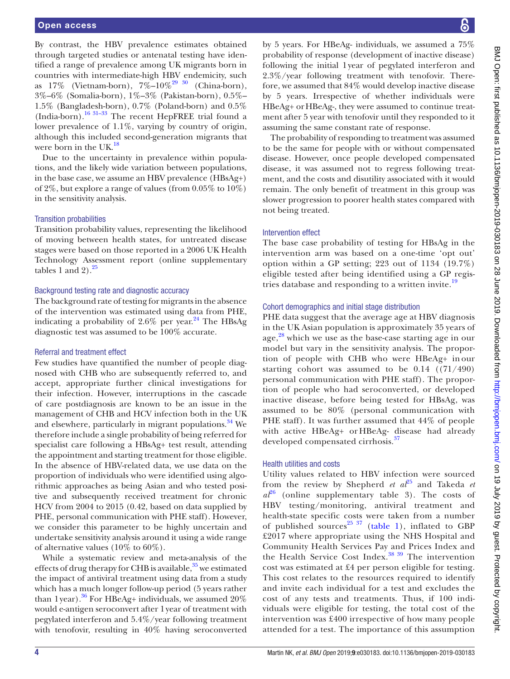By contrast, the HBV prevalence estimates obtained through targeted studies or antenatal testing have identified a range of prevalence among UK migrants born in countries with intermediate-high HBV endemicity, such as  $17\%$  (Vietnam-born),  $7\%$ – $10\%$ <sup>29 30</sup> (China-born), 3%–6% (Somalia-born), 1%–3% (Pakistan-born), 0.5%– 1.5% (Bangladesh-born), 0.7% (Poland-born) and 0.5% (India-born)[.16 31–33](#page-7-5) The recent HepFREE trial found a lower prevalence of 1.1%, varying by country of origin, although this included second-generation migrants that were born in the UK.<sup>18</sup>

Due to the uncertainty in prevalence within populations, and the likely wide variation between populations, in the base case, we assume an HBV prevalence (HBsAg+) of 2%, but explore a range of values (from 0.05% to 10%) in the sensitivity analysis.

#### Transition probabilities

Transition probability values, representing the likelihood of moving between health states, for untreated disease stages were based on those reported in a 2006 UK Health Technology Assessment report (online [supplementary](https://dx.doi.org/10.1136/bmjopen-2019-030183) [tables 1 and 2](https://dx.doi.org/10.1136/bmjopen-2019-030183)). $^{25}$ 

#### Background testing rate and diagnostic accuracy

The background rate of testing for migrants in the absence of the intervention was estimated using data from PHE, indicating a probability of  $2.6\%$  per year.<sup>24</sup> The HBsAg diagnostic test was assumed to be 100% accurate.

### Referral and treatment effect

Few studies have quantified the number of people diagnosed with CHB who are subsequently referred to, and accept, appropriate further clinical investigations for their infection. However, interruptions in the cascade of care postdiagnosis are known to be an issue in the management of CHB and HCV infection both in the UK and elsewhere, particularly in migrant populations.<sup>34</sup> We therefore include a single probability of being referred for specialist care following a HBsAg+ test result, attending the appointment and starting treatment for those eligible. In the absence of HBV-related data, we use data on the proportion of individuals who were identified using algorithmic approaches as being Asian and who tested positive and subsequently received treatment for chronic HCV from 2004 to 2015 (0.42, based on data supplied by PHE, personal communication with PHE staff). However, we consider this parameter to be highly uncertain and undertake sensitivity analysis around it using a wide range of alternative values (10% to 60%).

While a systematic review and meta-analysis of the effects of drug therapy for CHB is available, $35$  we estimated the impact of antiviral treatment using data from a study which has a much longer follow-up period (5 years rather than 1year).<sup>36</sup> For HBeAg+ individuals, we assumed  $20\%$ would e-antigen seroconvert after 1year of treatment with pegylated interferon and 5.4%/year following treatment with tenofovir, resulting in 40% having seroconverted by 5 years. For HBeAg- individuals, we assumed a 75% probability of response (development of inactive disease) following the initial 1year of pegylated interferon and 2.3%/year following treatment with tenofovir. Therefore, we assumed that 84% would develop inactive disease by 5 years. Irrespective of whether individuals were HBeAg+ orHBeAg-, they were assumed to continue treatment after 5 year with tenofovir until they responded to it assuming the same constant rate of response.

The probability of responding to treatment was assumed to be the same for people with or without compensated disease. However, once people developed compensated disease, it was assumed not to regress following treatment, and the costs and disutility associated with it would remain. The only benefit of treatment in this group was slower progression to poorer health states compared with not being treated.

#### Intervention effect

The base case probability of testing for HBsAg in the intervention arm was based on a one-time 'opt out' option within a GP setting; 223 out of 1134 (19.7%) eligible tested after being identified using a GP regis-tries database and responding to a written invite.<sup>[19](#page-7-8)</sup>

#### Cohort demographics and initial stage distribution

PHE data suggest that the average age at HBV diagnosis in the UK Asian population is approximately 35 years of age, $28$  which we use as the base-case starting age in our model but vary in the sensitivity analysis. The proportion of people with CHB who were HBeAg+ in our starting cohort was assumed to be 0.14 ((71/490) personal communication with PHE staff). The proportion of people who had seroconverted, or developed inactive disease, before being tested for HBsAg, was assumed to be 80% (personal communication with PHE staff). It was further assumed that 44% of people with active HBeAg+ or HBeAg- disease had already developed compensated cirrhosis.<sup>[37](#page-7-20)</sup>

#### Health utilities and costs

Utility values related to HBV infection were sourced from the review by Shepherd *et al*<sup>[25](#page-7-12)</sup> and Takeda *et*  $a^{26}$  (online [supplementary table 3](https://dx.doi.org/10.1136/bmjopen-2019-030183)). The costs of HBV testing/monitoring, antiviral treatment and health-state specific costs were taken from a number of published sources<sup>[25 37](#page-7-12)</sup> [\(table](#page-4-0) 1), inflated to GBP £2017 where appropriate using the NHS Hospital and Community Health Services Pay and Prices Index and the Health Service Cost Index.<sup>38 39</sup> The intervention cost was estimated at £4 per person eligible for testing. This cost relates to the resources required to identify and invite each individual for a test and excludes the cost of any tests and treatments. Thus, if 100 individuals were eligible for testing, the total cost of the intervention was £400 irrespective of how many people attended for a test. The importance of this assumption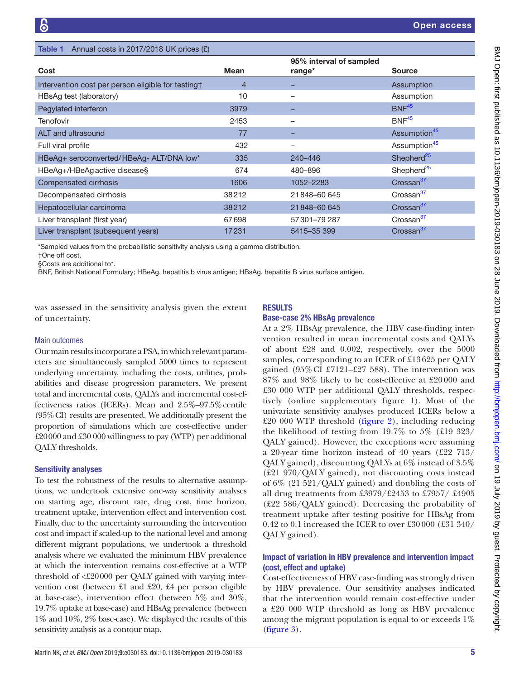<span id="page-4-0"></span>

| Cost                                               | <b>Mean</b>    | 95% interval of sampled<br>range* | <b>Source</b>            |
|----------------------------------------------------|----------------|-----------------------------------|--------------------------|
| Intervention cost per person eligible for testing† | $\overline{4}$ |                                   | Assumption               |
| HBsAg test (laboratory)                            | 10             |                                   | Assumption               |
| Pegylated interferon                               | 3979           |                                   | BNF <sup>45</sup>        |
| <b>Tenofovir</b>                                   | 2453           |                                   | BNF <sup>45</sup>        |
| ALT and ultrasound                                 | 77             |                                   | Assumption <sup>45</sup> |
| Full viral profile                                 | 432            |                                   | Assumption <sup>45</sup> |
| HBeAg+ seroconverted/HBeAg- ALT/DNA low*           | 335            | 240-446                           | Shepherd <sup>25</sup>   |
| HBeAg+/HBeAgactive disease§                        | 674            | 480-896                           | Shepherd <sup>25</sup>   |
| Compensated cirrhosis                              | 1606           | 1052-2283                         | Crossan <sup>37</sup>    |
| Decompensated cirrhosis                            | 38212          | 21848-60645                       | Crossan <sup>37</sup>    |
| Hepatocellular carcinoma                           | 38212          | 21848-60645                       | Crossan <sup>37</sup>    |
| Liver transplant (first year)                      | 67698          | 57301-79287                       | Crossan <sup>37</sup>    |
| Liver transplant (subsequent years)                | 17231          | 5415-35 399                       | Crossan <sup>37</sup>    |
|                                                    |                |                                   |                          |

\*Sampled values from the probabilistic sensitivity analysis using a gamma distribution.

†One off cost.

§Costs are additional to\*.

BNF, British National Formulary; HBeAg, hepatitis b virus antigen; HBsAg, hepatitis B virus surface antigen.

was assessed in the sensitivity analysis given the extent of uncertainty.

Annual costs in 2017/2018 LIK prices (£)

#### Main outcomes

Our main results incorporate a PSA, in which relevant parameters are simultaneously sampled 5000 times to represent underlying uncertainty, including the costs, utilities, probabilities and disease progression parameters. We present total and incremental costs, QALYs and incremental cost-effectiveness ratios (ICERs). Mean and 2.5%–97.5%centile (95%CI) results are presented. We additionally present the proportion of simulations which are cost-effective under £20000 and £30 000 willingness to pay (WTP) per additional QALY thresholds.

### Sensitivity analyses

To test the robustness of the results to alternative assumptions, we undertook extensive one-way sensitivity analyses on starting age, discount rate, drug cost, time horizon, treatment uptake, intervention effect and intervention cost. Finally, due to the uncertainty surrounding the intervention cost and impact if scaled-up to the national level and among different migrant populations, we undertook a threshold analysis where we evaluated the minimum HBV prevalence at which the intervention remains cost-effective at a WTP threshold of <£20000 per QALY gained with varying intervention cost (between £1 and £20, £4 per person eligible at base-case), intervention effect (between 5% and 30%, 19.7% uptake at base-case) and HBsAg prevalence (between 1% and 10%, 2% base-case). We displayed the results of this sensitivity analysis as a contour map.

## **RESULTS**

#### Base-case 2% HBsAg prevalence

At a 2% HBsAg prevalence, the HBV case-finding intervention resulted in mean incremental costs and QALYs of about £28 and 0.002, respectively, over the 5000 samples, corresponding to an ICER of £13 625 per QALY gained (95%CI £7121–£27 588). The intervention was 87% and 98% likely to be cost-effective at £20 000 and £30 000 WTP per additional QALY thresholds, respectively (online [supplementary figure 1](https://dx.doi.org/10.1136/bmjopen-2019-030183)). Most of the univariate sensitivity analyses produced ICERs below a £20 000 WTP threshold ([figure](#page-5-0) 2), including reducing the likelihood of testing from 19.7% to 5% (£19 323/ QALY gained). However, the exceptions were assuming a 20-year time horizon instead of 40 years (£22 713/ QALY gained), discounting QALYs at 6% instead of 3.5% (£21 970/QALY gained), not discounting costs instead of 6% (21 521/QALY gained) and doubling the costs of all drug treatments from £3979/£2453 to £7957/ £4905 (£22 586/QALY gained). Decreasing the probability of treatment uptake after testing positive for HBsAg from 0.42 to 0.1 increased the ICER to over £30 000 (£31 340/ QALY gained).

## Impact of variation in HBV prevalence and intervention impact (cost, effect and uptake)

Cost-effectiveness of HBV case-finding was strongly driven by HBV prevalence. Our sensitivity analyses indicated that the intervention would remain cost-effective under a £20 000 WTP threshold as long as HBV prevalence among the migrant population is equal to or exceeds 1% [\(figure](#page-5-1) 3).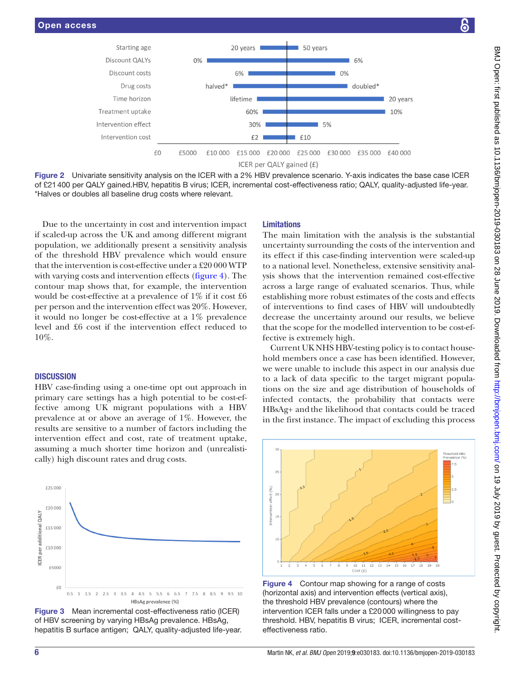

Figure 2 Univariate sensitivity analysis on the ICER with a 2% HBV prevalence scenario. Y-axis indicates the base case ICER of £21400 per QALY gained.HBV, hepatitis B virus; ICER, incremental cost-effectiveness ratio; QALY, quality-adjusted life-year. \*Halves or doubles all baseline drug costs where relevant.

Due to the uncertainty in cost and intervention impact if scaled-up across the UK and among different migrant population, we additionally present a sensitivity analysis of the threshold HBV prevalence which would ensure that the intervention is cost-effective under a £20 000 WTP with varying costs and intervention effects ([figure](#page-5-2) 4). The contour map shows that, for example, the intervention would be cost-effective at a prevalence of 1% if it cost £6 per person and the intervention effect was 20%. However, it would no longer be cost-effective at a 1% prevalence level and £6 cost if the intervention effect reduced to 10%.

#### **DISCUSSION**

HBV case-finding using a one-time opt out approach in primary care settings has a high potential to be cost-effective among UK migrant populations with a HBV prevalence at or above an average of 1%. However, the results are sensitive to a number of factors including the intervention effect and cost, rate of treatment uptake, assuming a much shorter time horizon and (unrealistically) high discount rates and drug costs.



<span id="page-5-1"></span>Figure 3 Mean incremental cost-effectiveness ratio (ICER) of HBV screening by varying HBsAg prevalence. HBsAg, hepatitis B surface antigen; QALY, quality-adjusted life-year.

## <span id="page-5-0"></span>Limitations

The main limitation with the analysis is the substantial uncertainty surrounding the costs of the intervention and its effect if this case-finding intervention were scaled-up to a national level. Nonetheless, extensive sensitivity analysis shows that the intervention remained cost-effective across a large range of evaluated scenarios. Thus, while establishing more robust estimates of the costs and effects of interventions to find cases of HBV will undoubtedly decrease the uncertainty around our results, we believe that the scope for the modelled intervention to be cost-effective is extremely high.

Current UK NHS HBV-testing policy is to contact household members once a case has been identified. However, we were unable to include this aspect in our analysis due to a lack of data specific to the target migrant populations on the size and age distribution of households of infected contacts, the probability that contacts were HBsAg+ andthe likelihood that contacts could be traced in the first instance. The impact of excluding this process



<span id="page-5-2"></span>Figure 4 Contour map showing for a range of costs (horizontal axis) and intervention effects (vertical axis), the threshold HBV prevalence (contours) where the intervention ICER falls under a £20000 willingness to pay threshold. HBV, hepatitis B virus; ICER, incremental costeffectiveness ratio.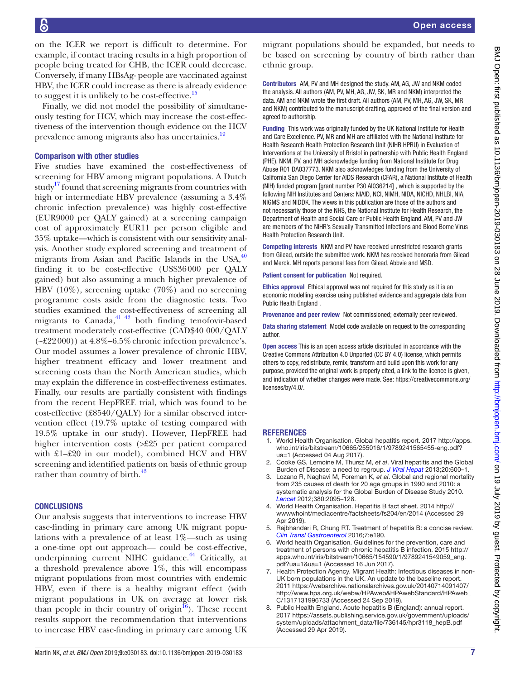6

on the ICER we report is difficult to determine. For example, if contact tracing results in a high proportion of people being treated for CHB, the ICER could decrease. Conversely, if many HBsAg- people are vaccinated against HBV, the ICER could increase as there is already evidence to suggest it is unlikely to be cost-effective.<sup>[15](#page-7-4)</sup>

Finally, we did not model the possibility of simultaneously testing for HCV, which may increase the cost-effectiveness of the intervention though evidence on the HCV prevalence among migrants also has uncertainies.<sup>19</sup>

## Comparison with other studies

Five studies have examined the cost-effectiveness of screening for HBV among migrant populations. A Dutch study<sup>17</sup> found that screening migrants from countries with high or intermediate HBV prevalence (assuming a 3.4% chronic infection prevalence) was highly cost-effective (EUR9000 per QALY gained) at a screening campaign cost of approximately EUR11 per person eligible and 35% uptake—which is consistent with our sensitivity analysis. Another study explored screening and treatment of migrants from Asian and Pacific Islands in the USA, $40$ finding it to be cost-effective (US\$36000 per QALY gained) but also assuming a much higher prevalence of HBV (10%), screening uptake (70%) and no screening programme costs aside from the diagnostic tests. Two studies examined the cost-effectiveness of screening all migrants to Canada, $41 \frac{42}{12}$  both finding tenofovir-based treatment moderately cost-effective (CAD\$40 000/QALY  $(-22000)$ ) at  $4.8\%$ –6.5% chronic infection prevalence's. Our model assumes a lower prevalence of chronic HBV, higher treatment efficacy and lower treatment and screening costs than the North American studies, which may explain the difference in cost-effectiveness estimates. Finally, our results are partially consistent with findings from the recent HepFREE trial, which was found to be cost-effective (£8540/QALY) for a similar observed intervention effect (19.7% uptake of testing compared with 19.5% uptake in our study). However, HepFREE had higher intervention costs (>£25 per patient compared with £1–£20 in our model), combined HCV and HBV screening and identified patients on basis of ethnic group rather than country of birth.<sup>43</sup>

## **CONCLUSIONS**

Our analysis suggests that interventions to increase HBV case-finding in primary care among UK migrant populations with a prevalence of at least 1%—such as using a one-time opt out approach— could be cost-effective, underpinning current NIHC guidance.<sup>44</sup> Critically, at a threshold prevalence above 1%, this will encompass migrant populations from most countries with endemic HBV, even if there is a healthy migrant effect (with migrant populations in UK on average at lower risk than people in their country of origin $16$ ). These recent results support the recommendation that interventions to increase HBV case-finding in primary care among UK migrant populations should be expanded, but needs to be based on screening by country of birth rather than ethnic group.

Contributors AM, PV and MH designed the study. AM, AG, JW and NKM coded the analysis. All authors (AM, PV, MH, AG, JW, SK, MR and NKM) interpreted the data. AM and NKM wrote the first draft. All authors (AM, PV, MH, AG, JW, SK, MR and NKM) contributed to the manuscript drafting, approved of the final version and agreed to authorship.

Funding This work was originally funded by the UK National Institute for Health and Care Excellence. PV, MR and MH are affiliated with the National Institute for Health Research Health Protection Research Unit (NIHR HPRU) in Evaluation of Interventions at the University of Bristol in partnership with Public Health England (PHE). NKM, PV, and MH acknowledge funding from National Institute for Drug Abuse R01 DA037773. NKM also acknowledges funding from the University of California San Diego Center for AIDS Research (CFAR), a National Institute of Health (NIH) funded program [grant number P30 AI036214] , which is supported by the following NIH Institutes and Centers: NIAID, NCI, NIMH, NIDA, NICHD, NHLBI, NIA, NIGMS and NIDDK. The views in this publication are those of the authors and not necessarily those of the NHS, the National Institute for Health Research, the Department of Health and Social Care or Public Health England. AM, PV and JW are members of the NIHR's Sexually Transmitted Infections and Blood Borne Virus Health Protection Research Unit.

Competing interests NKM and PV have received unrestricted research grants from Gilead, outside the submitted work. NKM has received honoraria from Gilead and Merck. MH reports personal fees from Gilead, Abbvie and MSD.

Patient consent for publication Not required.

Ethics approval Ethical approval was not required for this study as it is an economic modelling exercise using published evidence and aggregate data from Public Health England .

Provenance and peer review Not commissioned; externally peer reviewed.

Data sharing statement Model code available on request to the corresponding author.

Open access This is an open access article distributed in accordance with the Creative Commons Attribution 4.0 Unported (CC BY 4.0) license, which permits others to copy, redistribute, remix, transform and build upon this work for any purpose, provided the original work is properly cited, a link to the licence is given, and indication of whether changes were made. See: [https://creativecommons.org/](https://creativecommons.org/licenses/by/4.0/) [licenses/by/4.0/](https://creativecommons.org/licenses/by/4.0/).

## **REFERENCES**

- <span id="page-6-0"></span>1. World Health Organisation. Global hepatitis report. 2017 [http://apps.](http://apps.who.int/iris/bitstream/10665/255016/1/9789241565455-eng.pdf?ua=1) [who.int/iris/bitstream/10665/255016/1/9789241565455-eng.pdf?](http://apps.who.int/iris/bitstream/10665/255016/1/9789241565455-eng.pdf?ua=1) [ua=1](http://apps.who.int/iris/bitstream/10665/255016/1/9789241565455-eng.pdf?ua=1) (Accessed 04 Aug 2017).
- <span id="page-6-1"></span>2. Cooke GS, Lemoine M, Thursz M, *et al*. Viral hepatitis and the Global Burden of Disease: a need to regroup. *[J Viral Hepat](http://dx.doi.org/10.1111/jvh.12123)* 2013;20:600–1.
- <span id="page-6-2"></span>3. Lozano R, Naghavi M, Foreman K, *et al*. Global and regional mortality from 235 causes of death for 20 age groups in 1990 and 2010: a systematic analysis for the Global Burden of Disease Study 2010. *[Lancet](http://dx.doi.org/10.1016/S0140-6736(12)61728-0)* 2012;380:2095–128.
- <span id="page-6-3"></span>4. World Health Organisation. Hepatitis B fact sheet. 2014 [http://](http://wwwwhoint/mediacentre/factsheets/fs204/en/2014) [wwwwhoint/mediacentre/factsheets/fs204/en/2014](http://wwwwhoint/mediacentre/factsheets/fs204/en/2014) (Accessed 29 Apr 2019).
- <span id="page-6-4"></span>5. Rajbhandari R, Chung RT. Treatment of hepatitis B: a concise review. *[Clin Transl Gastroenterol](http://dx.doi.org/10.1038/ctg.2016.46)* 2016;7:e190.
- World health Organisation. Guidelines for the prevention, care and treatment of persons with chronic hepatitis B infection. 2015 [http://](http://apps.who.int/iris/bitstream/10665/154590/1/9789241549059_eng.pdf?ua=1&ua=1) [apps.who.int/iris/bitstream/10665/154590/1/9789241549059\\_eng.](http://apps.who.int/iris/bitstream/10665/154590/1/9789241549059_eng.pdf?ua=1&ua=1) [pdf?ua=1&ua=1](http://apps.who.int/iris/bitstream/10665/154590/1/9789241549059_eng.pdf?ua=1&ua=1) (Accessed 16 Jun 2017).
- <span id="page-6-5"></span>7. Health Protection Agency. Migrant Health: Infectious diseases in non-UK born populations in the UK. An update to the baseline report. 2011 [https://webarchive.nationalarchives.gov.uk/20140714091407/](https://webarchive.nationalarchives.gov.uk/20140714091407/http://www.hpa.org.uk/webw/HPAweb&HPAwebStandard/HPAweb_C/1317131996733) [http://www.hpa.org.uk/webw/HPAweb&HPAwebStandard/HPAweb\\_](https://webarchive.nationalarchives.gov.uk/20140714091407/http://www.hpa.org.uk/webw/HPAweb&HPAwebStandard/HPAweb_C/1317131996733) [C/1317131996733](https://webarchive.nationalarchives.gov.uk/20140714091407/http://www.hpa.org.uk/webw/HPAweb&HPAwebStandard/HPAweb_C/1317131996733) (Accessed 24 Sep 2019).
- <span id="page-6-6"></span>8. Public Health England. Acute hepatitis B (England): annual report. 2017 [https://assets.publishing.service.gov.uk/government/uploads/](https://assets.publishing.service.gov.uk/government/uploads/system/uploads/attachment_data/file/736145/hpr3118_hepB.pdf) [system/uploads/attachment\\_data/file/736145/hpr3118\\_hepB.pdf](https://assets.publishing.service.gov.uk/government/uploads/system/uploads/attachment_data/file/736145/hpr3118_hepB.pdf)  (Accessed 29 Apr 2019).